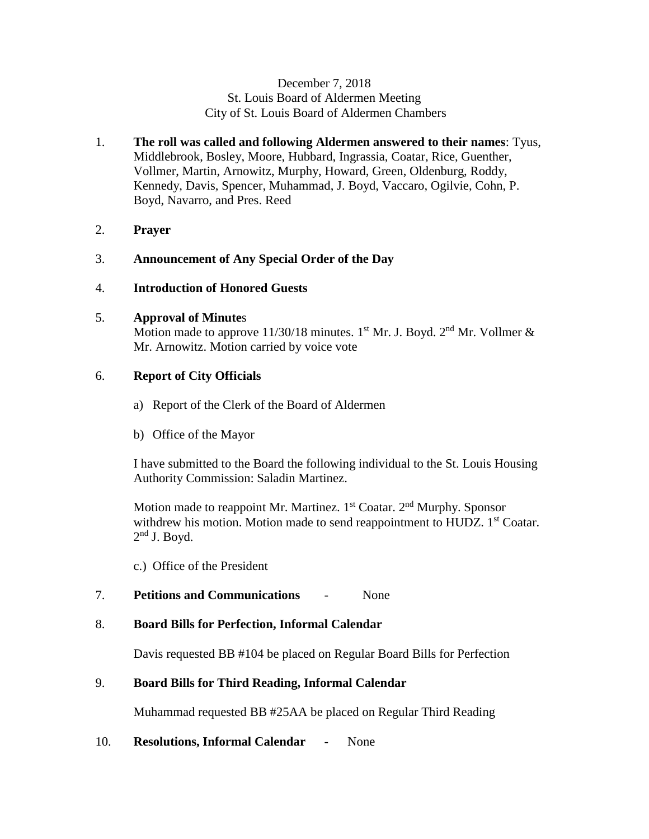## December 7, 2018 St. Louis Board of Aldermen Meeting City of St. Louis Board of Aldermen Chambers

- 1. **The roll was called and following Aldermen answered to their names**: Tyus, Middlebrook, Bosley, Moore, Hubbard, Ingrassia, Coatar, Rice, Guenther, Vollmer, Martin, Arnowitz, Murphy, Howard, Green, Oldenburg, Roddy, Kennedy, Davis, Spencer, Muhammad, J. Boyd, Vaccaro, Ogilvie, Cohn, P. Boyd, Navarro, and Pres. Reed
- 2. **Prayer**
- 3. **Announcement of Any Special Order of the Day**
- 4. **Introduction of Honored Guests**

### 5. **Approval of Minute**s

Motion made to approve 11/30/18 minutes. 1<sup>st</sup> Mr. J. Boyd. 2<sup>nd</sup> Mr. Vollmer & Mr. Arnowitz. Motion carried by voice vote

# 6. **Report of City Officials**

- a) Report of the Clerk of the Board of Aldermen
- b) Office of the Mayor

I have submitted to the Board the following individual to the St. Louis Housing Authority Commission: Saladin Martinez.

Motion made to reappoint Mr. Martinez. 1<sup>st</sup> Coatar. 2<sup>nd</sup> Murphy. Sponsor withdrew his motion. Motion made to send reappointment to HUDZ. 1<sup>st</sup> Coatar.  $2<sup>nd</sup>$  J. Boyd.

c.) Office of the President

7. **Petitions and Communications** - None

### 8. **Board Bills for Perfection, Informal Calendar**

Davis requested BB #104 be placed on Regular Board Bills for Perfection

# 9. **Board Bills for Third Reading, Informal Calendar**

Muhammad requested BB #25AA be placed on Regular Third Reading

# 10. **Resolutions, Informal Calendar** - None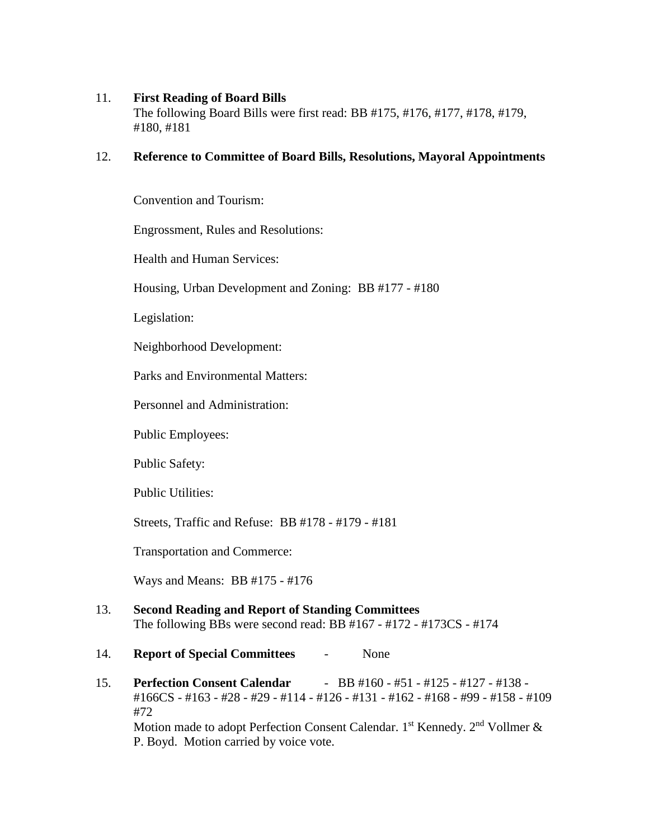# 11. **First Reading of Board Bills**

The following Board Bills were first read: BB #175, #176, #177, #178, #179, #180, #181

# 12. **Reference to Committee of Board Bills, Resolutions, Mayoral Appointments**

Convention and Tourism:

Engrossment, Rules and Resolutions:

Health and Human Services:

Housing, Urban Development and Zoning: BB #177 - #180

Legislation:

Neighborhood Development:

Parks and Environmental Matters:

Personnel and Administration:

Public Employees:

Public Safety:

Public Utilities:

Streets, Traffic and Refuse: BB #178 - #179 - #181

Transportation and Commerce:

Ways and Means: BB #175 - #176

13. **Second Reading and Report of Standing Committees** The following BBs were second read: BB #167 - #172 - #173CS - #174

### 14. **Report of Special Committees** - None

15. **Perfection Consent Calendar** - BB #160 - #51 - #125 - #127 - #138 - #166CS - #163 - #28 - #29 - #114 - #126 - #131 - #162 - #168 - #99 - #158 - #109 #72 Motion made to adopt Perfection Consent Calendar. 1<sup>st</sup> Kennedy. 2<sup>nd</sup> Vollmer & P. Boyd. Motion carried by voice vote.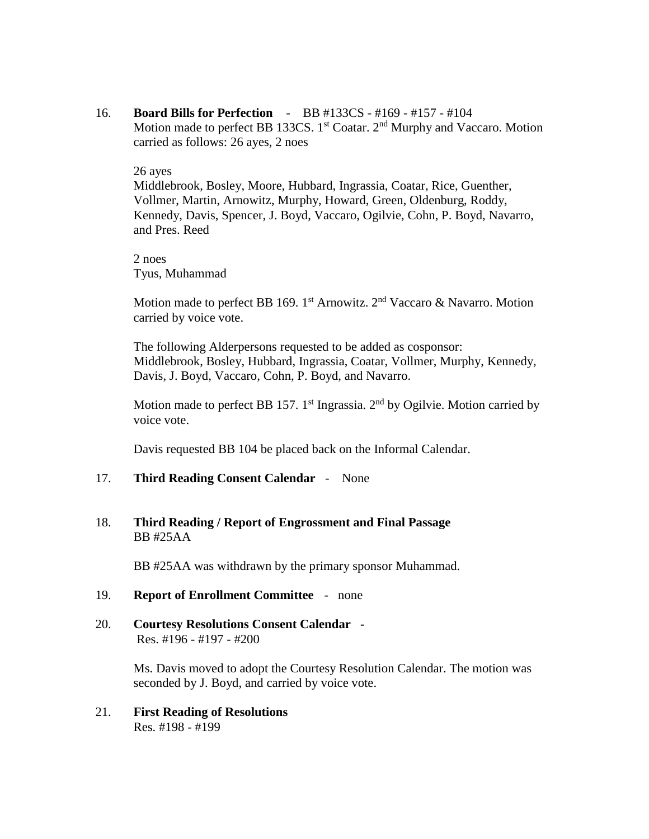16. **Board Bills for Perfection** - BB #133CS - #169 - #157 - #104 Motion made to perfect BB 133CS.  $1<sup>st</sup> Coatar. 2<sup>nd</sup> Murphy and Vaccaro. Motion$ carried as follows: 26 ayes, 2 noes

#### 26 ayes

 Middlebrook, Bosley, Moore, Hubbard, Ingrassia, Coatar, Rice, Guenther, Vollmer, Martin, Arnowitz, Murphy, Howard, Green, Oldenburg, Roddy, Kennedy, Davis, Spencer, J. Boyd, Vaccaro, Ogilvie, Cohn, P. Boyd, Navarro, and Pres. Reed

2 noes Tyus, Muhammad

Motion made to perfect BB 169. 1<sup>st</sup> Arnowitz. 2<sup>nd</sup> Vaccaro & Navarro. Motion carried by voice vote.

The following Alderpersons requested to be added as cosponsor: Middlebrook, Bosley, Hubbard, Ingrassia, Coatar, Vollmer, Murphy, Kennedy, Davis, J. Boyd, Vaccaro, Cohn, P. Boyd, and Navarro.

Motion made to perfect BB 157. 1<sup>st</sup> Ingrassia.  $2<sup>nd</sup>$  by Ogilvie. Motion carried by voice vote.

Davis requested BB 104 be placed back on the Informal Calendar.

#### 17. **Third Reading Consent Calendar** - None

# 18. **Third Reading / Report of Engrossment and Final Passage** BB #25AA

BB #25AA was withdrawn by the primary sponsor Muhammad.

### 19. **Report of Enrollment Committee** - none

20. **Courtesy Resolutions Consent Calendar -**  Res. #196 - #197 - #200

> Ms. Davis moved to adopt the Courtesy Resolution Calendar. The motion was seconded by J. Boyd, and carried by voice vote.

21. **First Reading of Resolutions** Res. #198 - #199